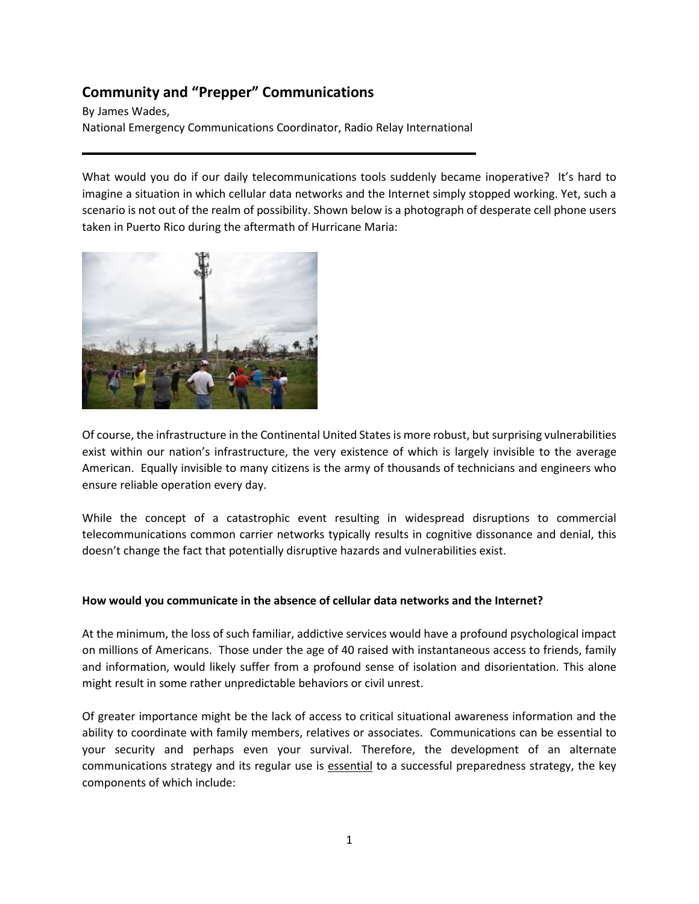# **Community and "Prepper" Communications**

By James Wades, National Emergency Communications Coordinator, Radio Relay International

What would you do if our daily telecommunications tools suddenly became inoperative? It's hard to imagine a situation in which cellular data networks and the Internet simply stopped working. Yet, such a scenario is not out of the realm of possibility. Shown below is a photograph of desperate cell phone users taken in Puerto Rico during the aftermath of Hurricane Maria:



Of course, the infrastructure in the Continental United States is more robust, but surprising vulnerabilities exist within our nation's infrastructure, the very existence of which is largely invisible to the average American. Equally invisible to many citizens is the army of thousands of technicians and engineers who ensure reliable operation every day.

While the concept of a catastrophic event resulting in widespread disruptions to commercial telecommunications common carrier networks typically results in cognitive dissonance and denial, this doesn't change the fact that potentially disruptive hazards and vulnerabilities exist.

# **How would you communicate in the absence of cellular data networks and the Internet?**

At the minimum, the loss of such familiar, addictive services would have a profound psychological impact on millions of Americans. Those under the age of 40 raised with instantaneous access to friends, family and information, would likely suffer from a profound sense of isolation and disorientation. This alone might result in some rather unpredictable behaviors or civil unrest.

Of greater importance might be the lack of access to critical situational awareness information and the ability to coordinate with family members, relatives or associates. Communications can be essential to your security and perhaps even your survival. Therefore, the development of an alternate communications strategy and its regular use is essential to a successful preparedness strategy, the key components of which include: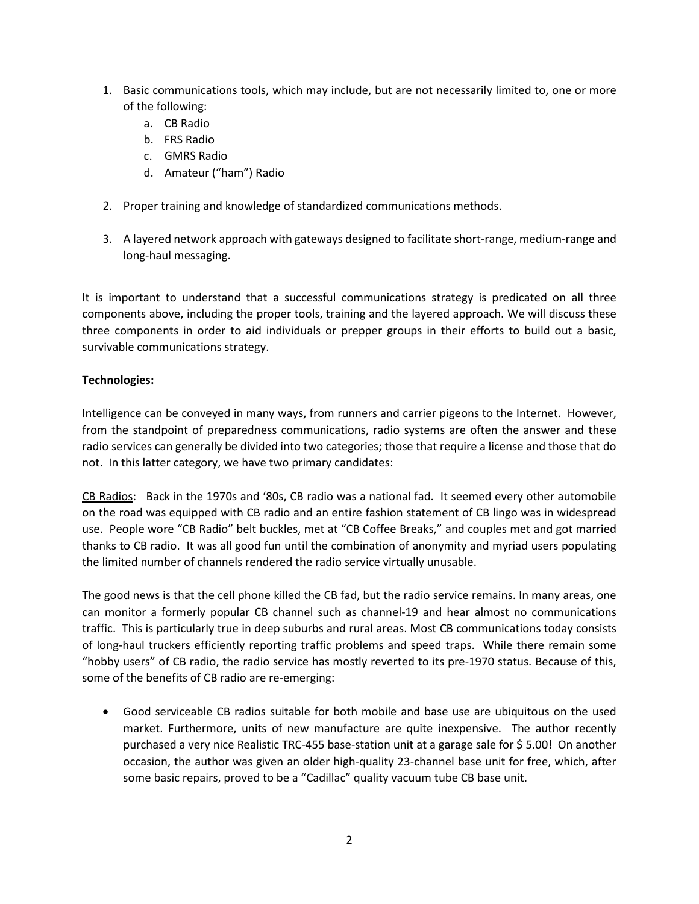- 1. Basic communications tools, which may include, but are not necessarily limited to, one or more of the following:
	- a. CB Radio
	- b. FRS Radio
	- c. GMRS Radio
	- d. Amateur ("ham") Radio
- 2. Proper training and knowledge of standardized communications methods.
- 3. A layered network approach with gateways designed to facilitate short-range, medium-range and long-haul messaging.

It is important to understand that a successful communications strategy is predicated on all three components above, including the proper tools, training and the layered approach. We will discuss these three components in order to aid individuals or prepper groups in their efforts to build out a basic, survivable communications strategy.

# **Technologies:**

Intelligence can be conveyed in many ways, from runners and carrier pigeons to the Internet. However, from the standpoint of preparedness communications, radio systems are often the answer and these radio services can generally be divided into two categories; those that require a license and those that do not. In this latter category, we have two primary candidates:

CB Radios: Back in the 1970s and '80s, CB radio was a national fad. It seemed every other automobile on the road was equipped with CB radio and an entire fashion statement of CB lingo was in widespread use. People wore "CB Radio" belt buckles, met at "CB Coffee Breaks," and couples met and got married thanks to CB radio. It was all good fun until the combination of anonymity and myriad users populating the limited number of channels rendered the radio service virtually unusable.

The good news is that the cell phone killed the CB fad, but the radio service remains. In many areas, one can monitor a formerly popular CB channel such as channel-19 and hear almost no communications traffic. This is particularly true in deep suburbs and rural areas. Most CB communications today consists of long-haul truckers efficiently reporting traffic problems and speed traps. While there remain some "hobby users" of CB radio, the radio service has mostly reverted to its pre-1970 status. Because of this, some of the benefits of CB radio are re-emerging:

• Good serviceable CB radios suitable for both mobile and base use are ubiquitous on the used market. Furthermore, units of new manufacture are quite inexpensive. The author recently purchased a very nice Realistic TRC-455 base-station unit at a garage sale for \$ 5.00! On another occasion, the author was given an older high-quality 23-channel base unit for free, which, after some basic repairs, proved to be a "Cadillac" quality vacuum tube CB base unit.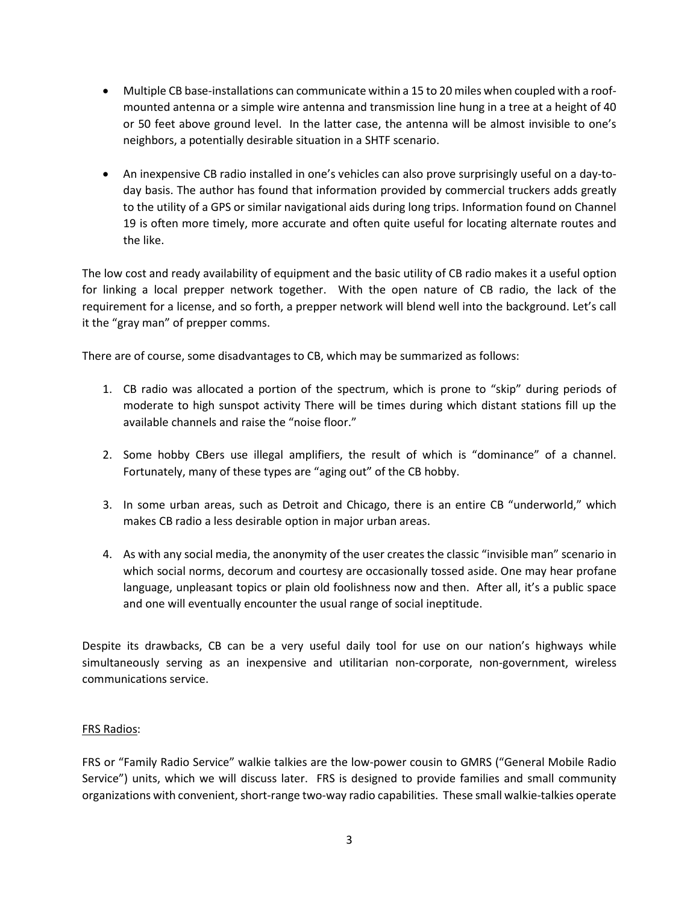- Multiple CB base-installations can communicate within a 15 to 20 miles when coupled with a roofmounted antenna or a simple wire antenna and transmission line hung in a tree at a height of 40 or 50 feet above ground level. In the latter case, the antenna will be almost invisible to one's neighbors, a potentially desirable situation in a SHTF scenario.
- An inexpensive CB radio installed in one's vehicles can also prove surprisingly useful on a day-today basis. The author has found that information provided by commercial truckers adds greatly to the utility of a GPS or similar navigational aids during long trips. Information found on Channel 19 is often more timely, more accurate and often quite useful for locating alternate routes and the like.

The low cost and ready availability of equipment and the basic utility of CB radio makes it a useful option for linking a local prepper network together. With the open nature of CB radio, the lack of the requirement for a license, and so forth, a prepper network will blend well into the background. Let's call it the "gray man" of prepper comms.

There are of course, some disadvantages to CB, which may be summarized as follows:

- 1. CB radio was allocated a portion of the spectrum, which is prone to "skip" during periods of moderate to high sunspot activity There will be times during which distant stations fill up the available channels and raise the "noise floor."
- 2. Some hobby CBers use illegal amplifiers, the result of which is "dominance" of a channel. Fortunately, many of these types are "aging out" of the CB hobby.
- 3. In some urban areas, such as Detroit and Chicago, there is an entire CB "underworld," which makes CB radio a less desirable option in major urban areas.
- 4. As with any social media, the anonymity of the user creates the classic "invisible man" scenario in which social norms, decorum and courtesy are occasionally tossed aside. One may hear profane language, unpleasant topics or plain old foolishness now and then. After all, it's a public space and one will eventually encounter the usual range of social ineptitude.

Despite its drawbacks, CB can be a very useful daily tool for use on our nation's highways while simultaneously serving as an inexpensive and utilitarian non-corporate, non-government, wireless communications service.

# FRS Radios:

FRS or "Family Radio Service" walkie talkies are the low-power cousin to GMRS ("General Mobile Radio Service") units, which we will discuss later. FRS is designed to provide families and small community organizations with convenient, short-range two-way radio capabilities. These small walkie-talkies operate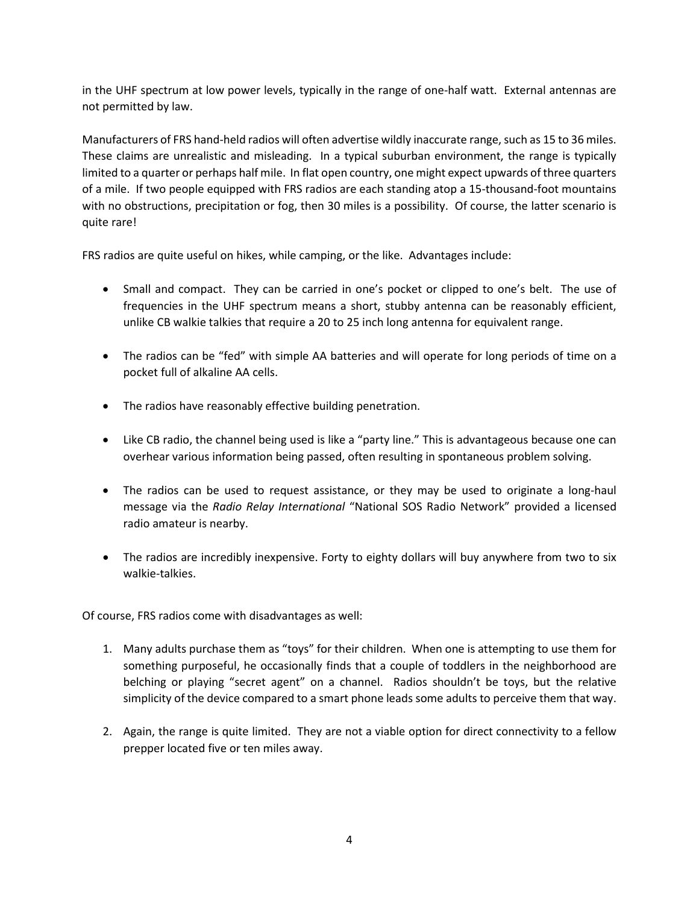in the UHF spectrum at low power levels, typically in the range of one-half watt. External antennas are not permitted by law.

Manufacturers of FRS hand-held radios will often advertise wildly inaccurate range, such as 15 to 36 miles. These claims are unrealistic and misleading. In a typical suburban environment, the range is typically limited to a quarter or perhaps half mile. In flat open country, one might expect upwards of three quarters of a mile. If two people equipped with FRS radios are each standing atop a 15-thousand-foot mountains with no obstructions, precipitation or fog, then 30 miles is a possibility. Of course, the latter scenario is quite rare!

FRS radios are quite useful on hikes, while camping, or the like. Advantages include:

- Small and compact. They can be carried in one's pocket or clipped to one's belt. The use of frequencies in the UHF spectrum means a short, stubby antenna can be reasonably efficient, unlike CB walkie talkies that require a 20 to 25 inch long antenna for equivalent range.
- The radios can be "fed" with simple AA batteries and will operate for long periods of time on a pocket full of alkaline AA cells.
- The radios have reasonably effective building penetration.
- Like CB radio, the channel being used is like a "party line." This is advantageous because one can overhear various information being passed, often resulting in spontaneous problem solving.
- The radios can be used to request assistance, or they may be used to originate a long-haul message via the *Radio Relay International* "National SOS Radio Network" provided a licensed radio amateur is nearby.
- The radios are incredibly inexpensive. Forty to eighty dollars will buy anywhere from two to six walkie-talkies.

Of course, FRS radios come with disadvantages as well:

- 1. Many adults purchase them as "toys" for their children. When one is attempting to use them for something purposeful, he occasionally finds that a couple of toddlers in the neighborhood are belching or playing "secret agent" on a channel. Radios shouldn't be toys, but the relative simplicity of the device compared to a smart phone leads some adults to perceive them that way.
- 2. Again, the range is quite limited. They are not a viable option for direct connectivity to a fellow prepper located five or ten miles away.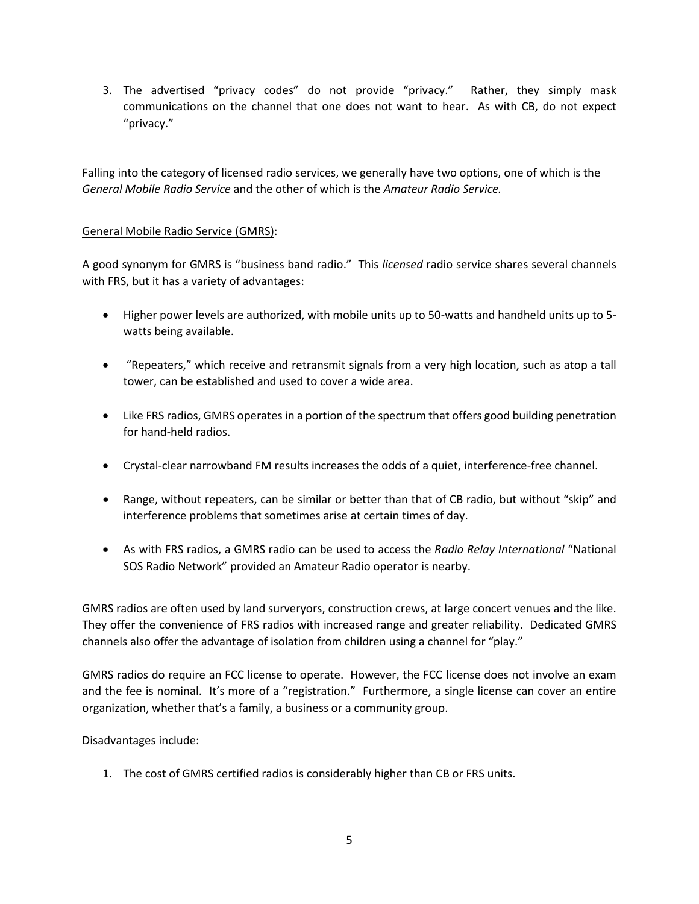3. The advertised "privacy codes" do not provide "privacy." Rather, they simply mask communications on the channel that one does not want to hear. As with CB, do not expect "privacy."

Falling into the category of licensed radio services, we generally have two options, one of which is the *General Mobile Radio Service* and the other of which is the *Amateur Radio Service.*

# General Mobile Radio Service (GMRS):

A good synonym for GMRS is "business band radio." This *licensed* radio service shares several channels with FRS, but it has a variety of advantages:

- Higher power levels are authorized, with mobile units up to 50-watts and handheld units up to 5 watts being available.
- "Repeaters," which receive and retransmit signals from a very high location, such as atop a tall tower, can be established and used to cover a wide area.
- Like FRS radios, GMRS operates in a portion of the spectrum that offers good building penetration for hand-held radios.
- Crystal-clear narrowband FM results increases the odds of a quiet, interference-free channel.
- Range, without repeaters, can be similar or better than that of CB radio, but without "skip" and interference problems that sometimes arise at certain times of day.
- As with FRS radios, a GMRS radio can be used to access the *Radio Relay International* "National SOS Radio Network" provided an Amateur Radio operator is nearby.

GMRS radios are often used by land surveryors, construction crews, at large concert venues and the like. They offer the convenience of FRS radios with increased range and greater reliability. Dedicated GMRS channels also offer the advantage of isolation from children using a channel for "play."

GMRS radios do require an FCC license to operate. However, the FCC license does not involve an exam and the fee is nominal. It's more of a "registration." Furthermore, a single license can cover an entire organization, whether that's a family, a business or a community group.

Disadvantages include:

1. The cost of GMRS certified radios is considerably higher than CB or FRS units.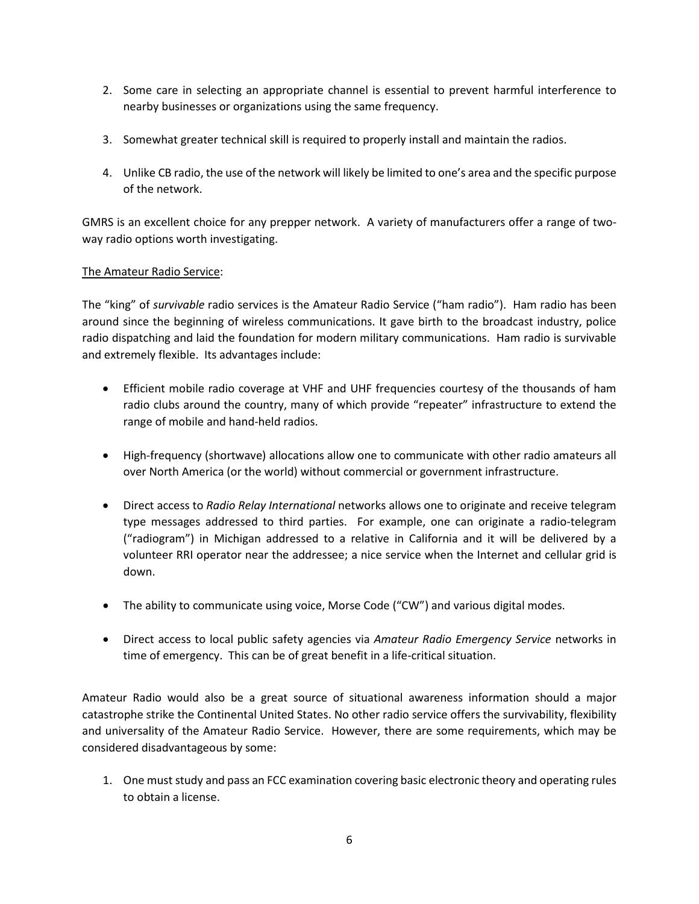- 2. Some care in selecting an appropriate channel is essential to prevent harmful interference to nearby businesses or organizations using the same frequency.
- 3. Somewhat greater technical skill is required to properly install and maintain the radios.
- 4. Unlike CB radio, the use of the network will likely be limited to one's area and the specific purpose of the network.

GMRS is an excellent choice for any prepper network. A variety of manufacturers offer a range of twoway radio options worth investigating.

# The Amateur Radio Service:

The "king" of *survivable* radio services is the Amateur Radio Service ("ham radio"). Ham radio has been around since the beginning of wireless communications. It gave birth to the broadcast industry, police radio dispatching and laid the foundation for modern military communications. Ham radio is survivable and extremely flexible. Its advantages include:

- Efficient mobile radio coverage at VHF and UHF frequencies courtesy of the thousands of ham radio clubs around the country, many of which provide "repeater" infrastructure to extend the range of mobile and hand-held radios.
- High-frequency (shortwave) allocations allow one to communicate with other radio amateurs all over North America (or the world) without commercial or government infrastructure.
- Direct access to *Radio Relay International* networks allows one to originate and receive telegram type messages addressed to third parties. For example, one can originate a radio-telegram ("radiogram") in Michigan addressed to a relative in California and it will be delivered by a volunteer RRI operator near the addressee; a nice service when the Internet and cellular grid is down.
- The ability to communicate using voice, Morse Code ("CW") and various digital modes.
- Direct access to local public safety agencies via *Amateur Radio Emergency Service* networks in time of emergency. This can be of great benefit in a life-critical situation.

Amateur Radio would also be a great source of situational awareness information should a major catastrophe strike the Continental United States. No other radio service offers the survivability, flexibility and universality of the Amateur Radio Service. However, there are some requirements, which may be considered disadvantageous by some:

1. One must study and pass an FCC examination covering basic electronic theory and operating rules to obtain a license.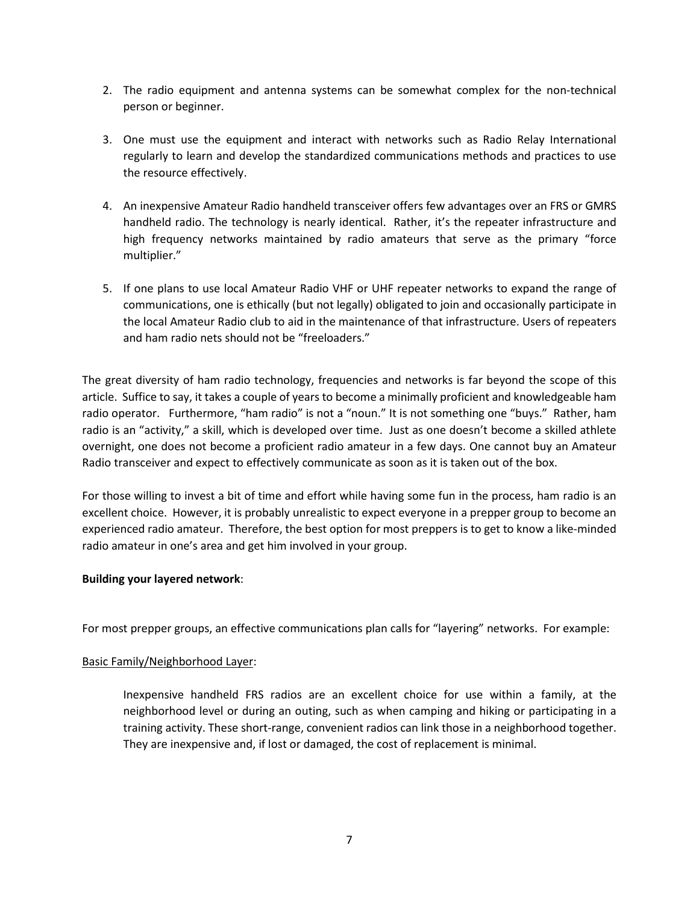- 2. The radio equipment and antenna systems can be somewhat complex for the non-technical person or beginner.
- 3. One must use the equipment and interact with networks such as Radio Relay International regularly to learn and develop the standardized communications methods and practices to use the resource effectively.
- 4. An inexpensive Amateur Radio handheld transceiver offers few advantages over an FRS or GMRS handheld radio. The technology is nearly identical. Rather, it's the repeater infrastructure and high frequency networks maintained by radio amateurs that serve as the primary "force multiplier."
- 5. If one plans to use local Amateur Radio VHF or UHF repeater networks to expand the range of communications, one is ethically (but not legally) obligated to join and occasionally participate in the local Amateur Radio club to aid in the maintenance of that infrastructure. Users of repeaters and ham radio nets should not be "freeloaders."

The great diversity of ham radio technology, frequencies and networks is far beyond the scope of this article. Suffice to say, it takes a couple of years to become a minimally proficient and knowledgeable ham radio operator. Furthermore, "ham radio" is not a "noun." It is not something one "buys." Rather, ham radio is an "activity," a skill, which is developed over time. Just as one doesn't become a skilled athlete overnight, one does not become a proficient radio amateur in a few days. One cannot buy an Amateur Radio transceiver and expect to effectively communicate as soon as it is taken out of the box.

For those willing to invest a bit of time and effort while having some fun in the process, ham radio is an excellent choice. However, it is probably unrealistic to expect everyone in a prepper group to become an experienced radio amateur. Therefore, the best option for most preppers is to get to know a like-minded radio amateur in one's area and get him involved in your group.

# **Building your layered network**:

For most prepper groups, an effective communications plan calls for "layering" networks. For example:

# Basic Family/Neighborhood Layer:

Inexpensive handheld FRS radios are an excellent choice for use within a family, at the neighborhood level or during an outing, such as when camping and hiking or participating in a training activity. These short-range, convenient radios can link those in a neighborhood together. They are inexpensive and, if lost or damaged, the cost of replacement is minimal.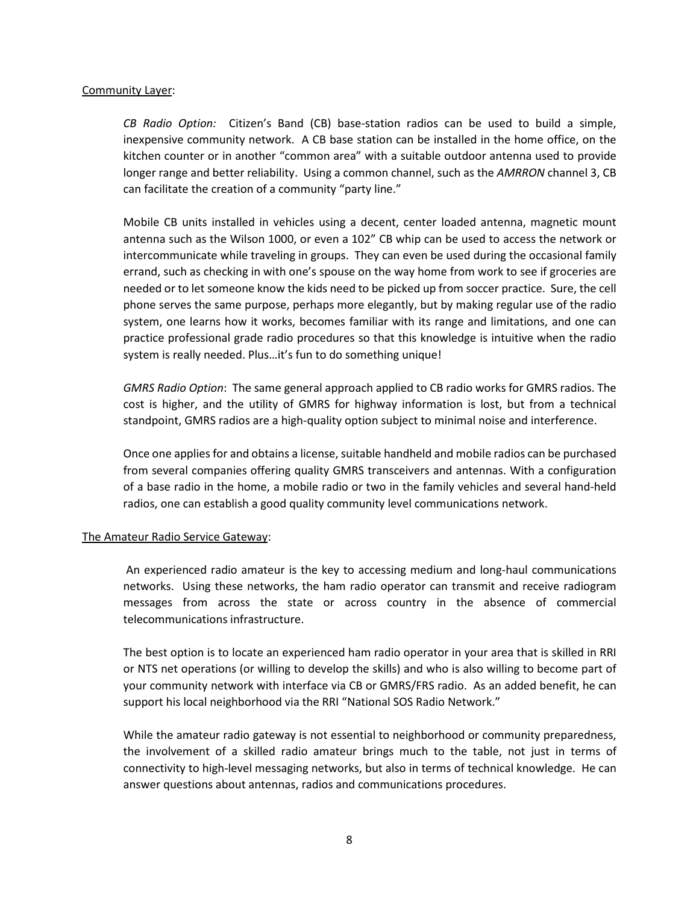#### Community Layer:

*CB Radio Option:* Citizen's Band (CB) base-station radios can be used to build a simple, inexpensive community network. A CB base station can be installed in the home office, on the kitchen counter or in another "common area" with a suitable outdoor antenna used to provide longer range and better reliability. Using a common channel, such as the *AMRRON* channel 3, CB can facilitate the creation of a community "party line."

Mobile CB units installed in vehicles using a decent, center loaded antenna, magnetic mount antenna such as the Wilson 1000, or even a 102" CB whip can be used to access the network or intercommunicate while traveling in groups. They can even be used during the occasional family errand, such as checking in with one's spouse on the way home from work to see if groceries are needed or to let someone know the kids need to be picked up from soccer practice. Sure, the cell phone serves the same purpose, perhaps more elegantly, but by making regular use of the radio system, one learns how it works, becomes familiar with its range and limitations, and one can practice professional grade radio procedures so that this knowledge is intuitive when the radio system is really needed. Plus...it's fun to do something unique!

*GMRS Radio Option*: The same general approach applied to CB radio works for GMRS radios. The cost is higher, and the utility of GMRS for highway information is lost, but from a technical standpoint, GMRS radios are a high-quality option subject to minimal noise and interference.

Once one applies for and obtains a license, suitable handheld and mobile radios can be purchased from several companies offering quality GMRS transceivers and antennas. With a configuration of a base radio in the home, a mobile radio or two in the family vehicles and several hand-held radios, one can establish a good quality community level communications network.

# The Amateur Radio Service Gateway:

An experienced radio amateur is the key to accessing medium and long-haul communications networks. Using these networks, the ham radio operator can transmit and receive radiogram messages from across the state or across country in the absence of commercial telecommunications infrastructure.

The best option is to locate an experienced ham radio operator in your area that is skilled in RRI or NTS net operations (or willing to develop the skills) and who is also willing to become part of your community network with interface via CB or GMRS/FRS radio. As an added benefit, he can support his local neighborhood via the RRI "National SOS Radio Network."

While the amateur radio gateway is not essential to neighborhood or community preparedness, the involvement of a skilled radio amateur brings much to the table, not just in terms of connectivity to high-level messaging networks, but also in terms of technical knowledge. He can answer questions about antennas, radios and communications procedures.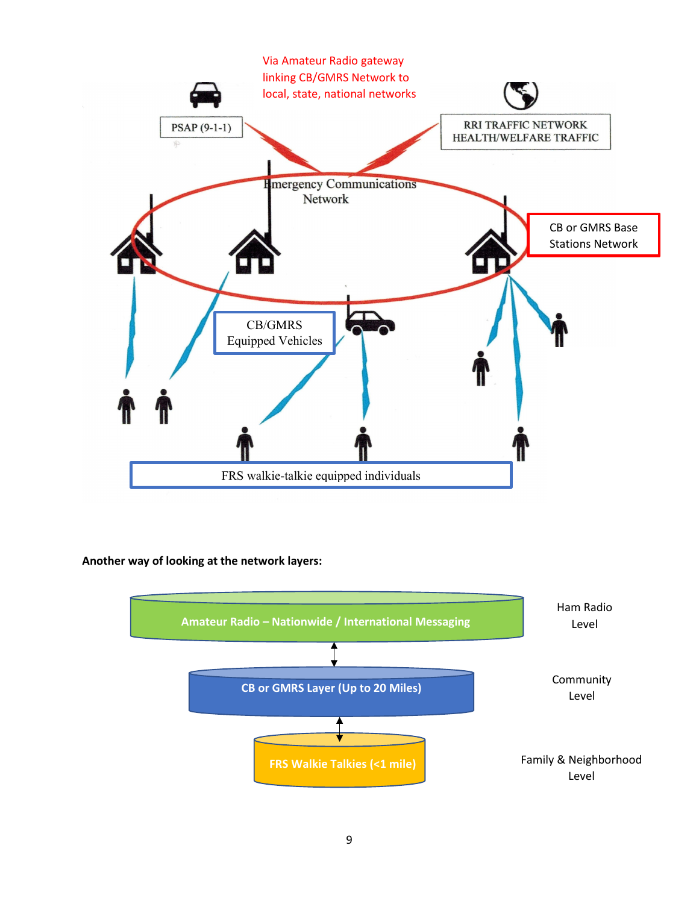

# **Another way of looking at the network layers:**

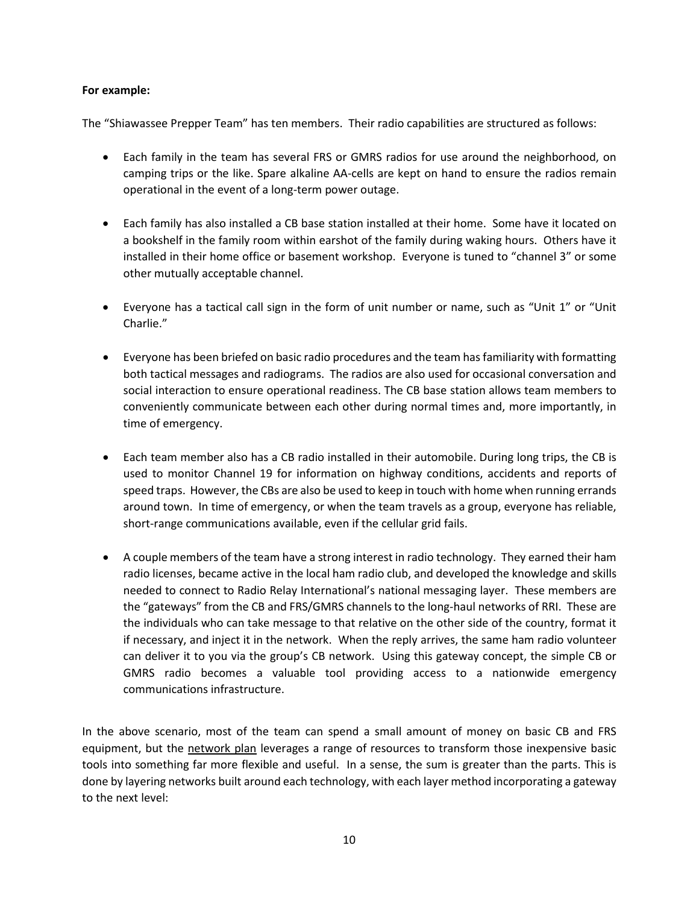# **For example:**

The "Shiawassee Prepper Team" has ten members. Their radio capabilities are structured as follows:

- Each family in the team has several FRS or GMRS radios for use around the neighborhood, on camping trips or the like. Spare alkaline AA-cells are kept on hand to ensure the radios remain operational in the event of a long-term power outage.
- Each family has also installed a CB base station installed at their home. Some have it located on a bookshelf in the family room within earshot of the family during waking hours. Others have it installed in their home office or basement workshop. Everyone is tuned to "channel 3" or some other mutually acceptable channel.
- Everyone has a tactical call sign in the form of unit number or name, such as "Unit 1" or "Unit Charlie."
- Everyone has been briefed on basic radio procedures and the team has familiarity with formatting both tactical messages and radiograms. The radios are also used for occasional conversation and social interaction to ensure operational readiness. The CB base station allows team members to conveniently communicate between each other during normal times and, more importantly, in time of emergency.
- Each team member also has a CB radio installed in their automobile. During long trips, the CB is used to monitor Channel 19 for information on highway conditions, accidents and reports of speed traps. However, the CBs are also be used to keep in touch with home when running errands around town. In time of emergency, or when the team travels as a group, everyone has reliable, short-range communications available, even if the cellular grid fails.
- A couple members of the team have a strong interest in radio technology. They earned their ham radio licenses, became active in the local ham radio club, and developed the knowledge and skills needed to connect to Radio Relay International's national messaging layer. These members are the "gateways" from the CB and FRS/GMRS channels to the long-haul networks of RRI. These are the individuals who can take message to that relative on the other side of the country, format it if necessary, and inject it in the network. When the reply arrives, the same ham radio volunteer can deliver it to you via the group's CB network. Using this gateway concept, the simple CB or GMRS radio becomes a valuable tool providing access to a nationwide emergency communications infrastructure.

In the above scenario, most of the team can spend a small amount of money on basic CB and FRS equipment, but the network plan leverages a range of resources to transform those inexpensive basic tools into something far more flexible and useful. In a sense, the sum is greater than the parts. This is done by layering networks built around each technology, with each layer method incorporating a gateway to the next level: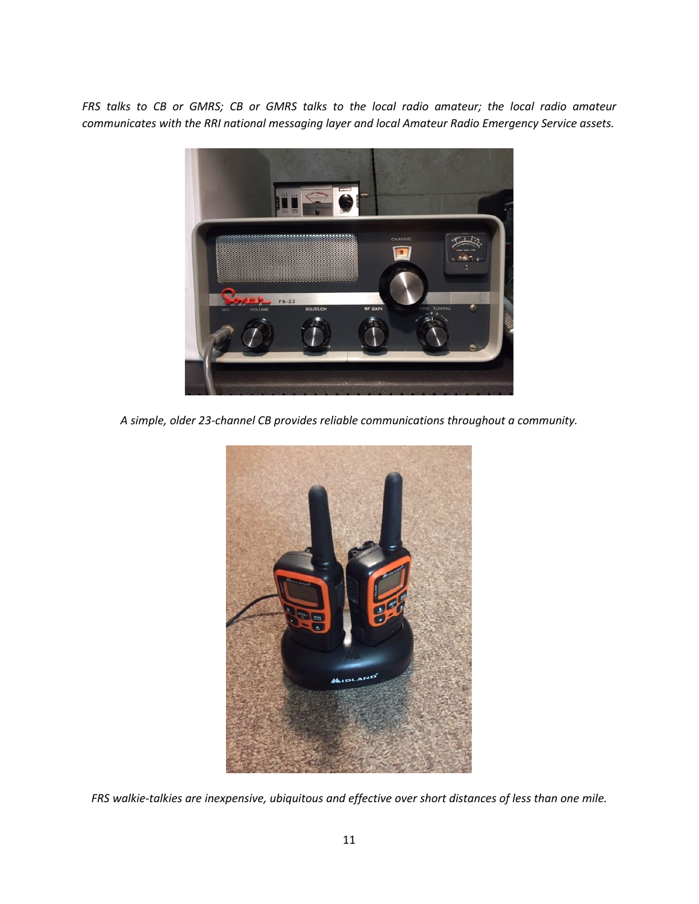*FRS talks to CB or GMRS; CB or GMRS talks to the local radio amateur; the local radio amateur communicates with the RRI national messaging layer and local Amateur Radio Emergency Service assets.*



*A simple, older 23-channel CB provides reliable communications throughout a community.*



*FRS walkie-talkies are inexpensive, ubiquitous and effective over short distances of less than one mile.*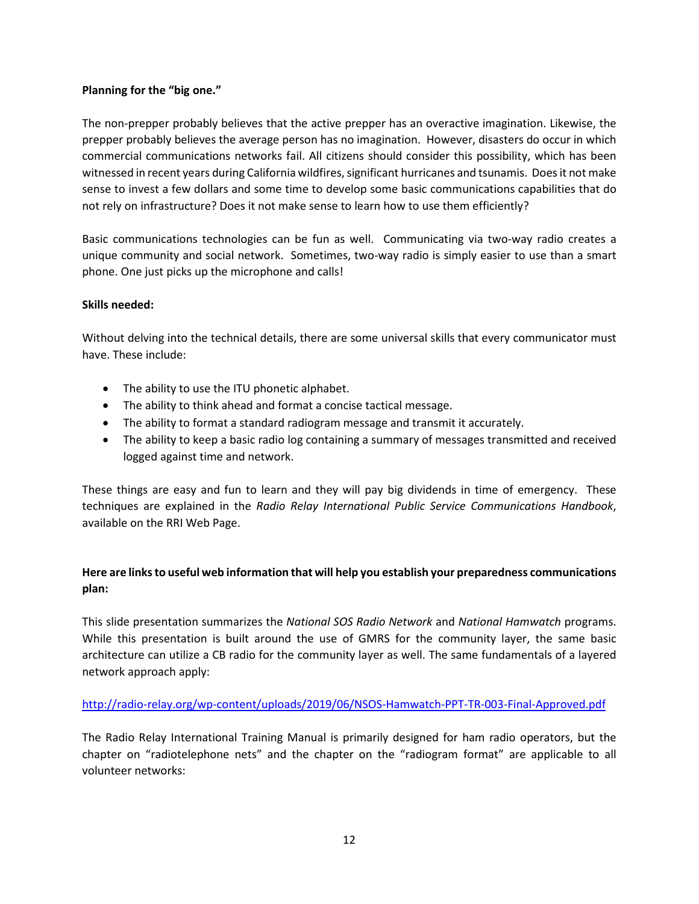# **Planning for the "big one."**

The non-prepper probably believes that the active prepper has an overactive imagination. Likewise, the prepper probably believes the average person has no imagination. However, disasters do occur in which commercial communications networks fail. All citizens should consider this possibility, which has been witnessed in recent years during California wildfires, significant hurricanes and tsunamis. Does it not make sense to invest a few dollars and some time to develop some basic communications capabilities that do not rely on infrastructure? Does it not make sense to learn how to use them efficiently?

Basic communications technologies can be fun as well. Communicating via two-way radio creates a unique community and social network. Sometimes, two-way radio is simply easier to use than a smart phone. One just picks up the microphone and calls!

# **Skills needed:**

Without delving into the technical details, there are some universal skills that every communicator must have. These include:

- The ability to use the ITU phonetic alphabet.
- The ability to think ahead and format a concise tactical message.
- The ability to format a standard radiogram message and transmit it accurately.
- The ability to keep a basic radio log containing a summary of messages transmitted and received logged against time and network.

These things are easy and fun to learn and they will pay big dividends in time of emergency. These techniques are explained in the *Radio Relay International Public Service Communications Handbook*, available on the RRI Web Page.

# **Here are links to useful web information that will help you establish your preparedness communications plan:**

This slide presentation summarizes the *National SOS Radio Network* and *National Hamwatch* programs. While this presentation is built around the use of GMRS for the community layer, the same basic architecture can utilize a CB radio for the community layer as well. The same fundamentals of a layered network approach apply:

# <http://radio-relay.org/wp-content/uploads/2019/06/NSOS-Hamwatch-PPT-TR-003-Final-Approved.pdf>

The Radio Relay International Training Manual is primarily designed for ham radio operators, but the chapter on "radiotelephone nets" and the chapter on the "radiogram format" are applicable to all volunteer networks: